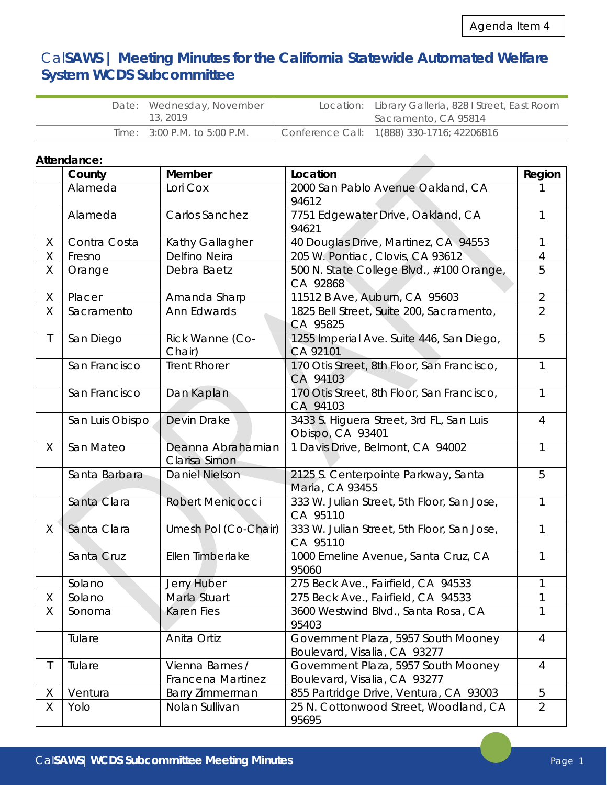**Allen** 

# Cal**SAWS | Meeting Minutes for the California Statewide Automated Welfare System WCDS Subcommittee**

| Date: Wednesday, November |                              | Location: Library Galleria, 828   Street, East Room |                                            |
|---------------------------|------------------------------|-----------------------------------------------------|--------------------------------------------|
|                           | 13, 2019                     |                                                     | Sacramento, CA 95814                       |
|                           | Time: 3:00 P.M. to 5:00 P.M. |                                                     | Conference Call: 1(888) 330-1716; 42206816 |

# **Attendance:**

|              | County          | Member                               | Location                                                            | Region         |
|--------------|-----------------|--------------------------------------|---------------------------------------------------------------------|----------------|
|              | Alameda         | Lori Cox                             | 2000 San Pablo Avenue Oakland, CA                                   |                |
|              |                 |                                      | 94612                                                               |                |
|              | Alameda         | Carlos Sanchez                       | 7751 Edgewater Drive, Oakland, CA<br>94621                          | 1              |
| X            | Contra Costa    | Kathy Gallagher                      | 40 Douglas Drive, Martinez, CA 94553                                | 1              |
| Χ            | Fresno          | Delfino Neira                        | 205 W. Pontiac, Clovis, CA 93612                                    | 4              |
| Χ            | Orange          | Debra Baetz                          | 500 N. State College Blvd., #100 Orange,<br>CA 92868                | 5              |
| X            | Placer          | Amanda Sharp                         | 11512 B Ave, Auburn, CA 95603                                       | $\overline{2}$ |
| Χ            | Sacramento      | Ann Edwards                          | 1825 Bell Street, Suite 200, Sacramento,<br>CA 95825                | $\overline{2}$ |
| $\mathsf T$  | San Diego       | Rick Wanne (Co-<br>Chair)            | 1255 Imperial Ave. Suite 446, San Diego,<br>CA 92101                | 5              |
|              | San Francisco   | <b>Trent Rhorer</b>                  | 170 Otis Street, 8th Floor, San Francisco,<br>CA 94103              | 1              |
|              | San Francisco   | Dan Kaplan                           | 170 Otis Street, 8th Floor, San Francisco,<br>CA 94103              | 1              |
|              | San Luis Obispo | Devin Drake                          | 3433 S. Higuera Street, 3rd FL, San Luis<br>Obispo, CA 93401        | $\overline{4}$ |
| X            | San Mateo       | Deanna Abrahamian<br>Clarisa Simon   | 1 Davis Drive, Belmont, CA 94002                                    | 1              |
|              | Santa Barbara   | <b>Daniel Nielson</b>                | 2125 S. Centerpointe Parkway, Santa<br>Maria, CA 93455              | 5              |
|              | Santa Clara     | <b>Robert Menicocci</b>              | 333 W. Julian Street, 5th Floor, San Jose,<br>CA 95110              | 1              |
| X            | Santa Clara     | Umesh Pol (Co-Chair)                 | 333 W. Julian Street, 5th Floor, San Jose,<br>CA 95110              |                |
|              | Santa Cruz      | Ellen Timberlake                     | 1000 Emeline Avenue, Santa Cruz, CA<br>95060                        | 1              |
|              | Solano          | Jerry Huber                          | 275 Beck Ave., Fairfield, CA 94533                                  |                |
| Χ            | Solano          | Marla Stuart                         | 275 Beck Ave., Fairfield, CA 94533                                  |                |
| Χ            | Sonoma          | <b>Karen Fies</b>                    | 3600 Westwind Blvd., Santa Rosa, CA<br>95403                        | $\mathbf{1}$   |
|              | Tulare          | Anita Ortiz                          | Government Plaza, 5957 South Mooney<br>Boulevard, Visalia, CA 93277 | 4              |
| $\mathsf{T}$ | Tulare          | Vienna Barnes /<br>Francena Martinez | Government Plaza, 5957 South Mooney<br>Boulevard, Visalia, CA 93277 | $\overline{4}$ |
| X            | Ventura         | Barry Zimmerman                      | 855 Partridge Drive, Ventura, CA 93003                              | 5              |
| X            | Yolo            | Nolan Sullivan                       | 25 N. Cottonwood Street, Woodland, CA<br>95695                      | $\overline{2}$ |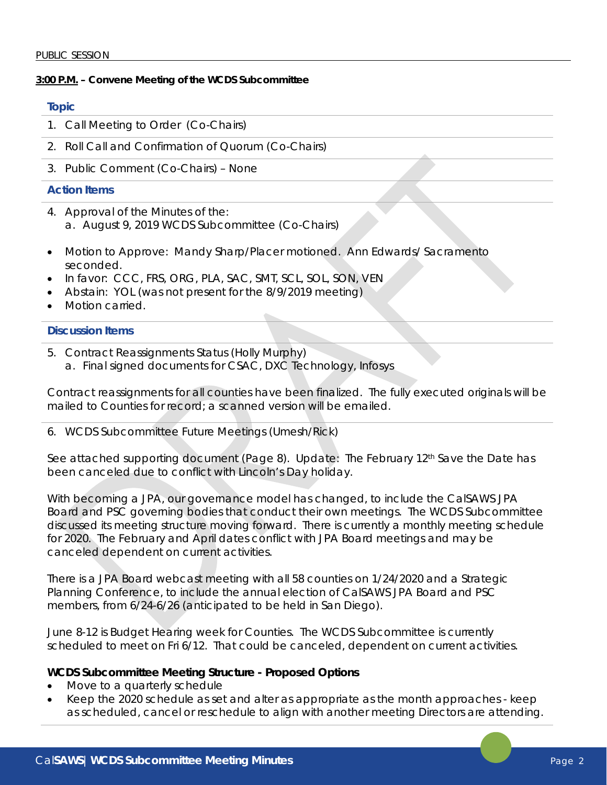### **3:00 P.M. – Convene Meeting of the WCDS Subcommittee**

## **Topic**

- 1. Call Meeting to Order (Co-Chairs)
- 2. Roll Call and Confirmation of Quorum (Co-Chairs)
- 3. Public Comment (Co-Chairs) None

## **Action Items**

- 4. Approval of the Minutes of the: a. August 9, 2019 WCDS Subcommittee (Co-Chairs)
- Motion to Approve: Mandy Sharp/Placer motioned. Ann Edwards/ Sacramento seconded.
- In favor: CCC, FRS, ORG, PLA, SAC, SMT, SCL, SOL, SON, VEN
- Abstain: YOL (was not present for the 8/9/2019 meeting)
- Motion carried.

### **Discussion Items**

- 5. Contract Reassignments Status (Holly Murphy)
	- a. Final signed documents for CSAC, DXC Technology, Infosys

Contract reassignments for all counties have been finalized. The fully executed originals will be mailed to Counties for record; a scanned version will be emailed.

#### 6. WCDS Subcommittee Future Meetings (Umesh/Rick)

See attached supporting document (Page 8). Update: The February  $12<sup>th</sup>$  Save the Date has been canceled due to conflict with Lincoln's Day holiday.

With becoming a JPA, our governance model has changed, to include the CalSAWS JPA Board and PSC governing bodies that conduct their own meetings. The WCDS Subcommittee discussed its meeting structure moving forward. There is currently a monthly meeting schedule for 2020. The February and April dates conflict with JPA Board meetings and may be canceled dependent on current activities.

There is a JPA Board webcast meeting with all 58 counties on 1/24/2020 and a Strategic Planning Conference, to include the annual election of CalSAWS JPA Board and PSC members, from 6/24-6/26 (anticipated to be held in San Diego).

June 8-12 is Budget Hearing week for Counties. The WCDS Subcommittee is currently scheduled to meet on Fri 6/12. That could be canceled, dependent on current activities.

## **WCDS Subcommittee Meeting Structure - Proposed Options**

- Move to a quarterly schedule
- Keep the 2020 schedule as set and alter as appropriate as the month approaches keep as scheduled, cancel or reschedule to align with another meeting Directors are attending.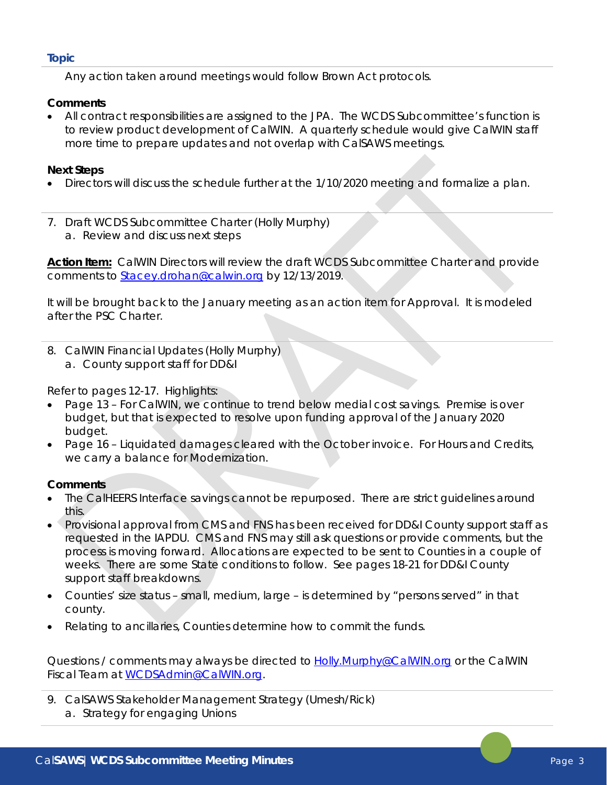*Any action taken around meetings would follow Brown Act protocols.* 

## **Comments**

• All contract responsibilities are assigned to the JPA. The WCDS Subcommittee's function is to review product development of CalWIN. A quarterly schedule would give CalWIN staff more time to prepare updates and not overlap with CalSAWS meetings.

## **Next Steps**

- Directors will discuss the schedule further at the 1/10/2020 meeting and formalize a plan.
- *7.* Draft WCDS Subcommittee Charter (Holly Murphy) a. Review and discuss next steps

*Action Item: CalWIN Directors will review the draft WCDS Subcommittee Charter and provide comments to [Stacey.drohan@calwin.org](mailto:Stacey.drohan@calwin.org) by 12/13/2019.* 

It will be brought back to the January meeting as an action item for Approval. It is modeled after the PSC Charter.

8. CalWIN Financial Updates (Holly Murphy) a. County support staff for DD&I

Refer to pages 12-17. Highlights:

- Page 13 For CalWIN, we continue to trend below medial cost savings. Premise is over budget, but that is expected to resolve upon funding approval of the January 2020 budget.
- Page 16 Liquidated damages cleared with the October invoice. For Hours and Credits, we carry a balance for Modernization.

## **Comments**

- The CalHEERS Interface savings cannot be repurposed. There are strict guidelines around this.
- Provisional approval from CMS and FNS has been received for DD&I County support staff as requested in the IAPDU. CMS and FNS may still ask questions or provide comments, but the process is moving forward. Allocations are expected to be sent to Counties in a couple of weeks. There are some State conditions to follow. See pages 18-21 for DD&I County support staff breakdowns.
- Counties' size status small, medium, large is determined by "persons served" in that county.
- Relating to ancillaries, Counties determine how to commit the funds.

Questions / comments may always be directed to **[Holly.Murphy@CalWIN.org](mailto:Holly.Murphy@CalWIN.org)** or the CalWIN Fiscal Team at [WCDSAdmin@CalWIN.org.](mailto:WCDSAdmin@CalWIN.org)

9. CalSAWS Stakeholder Management Strategy (Umesh/Rick) a. Strategy for engaging Unions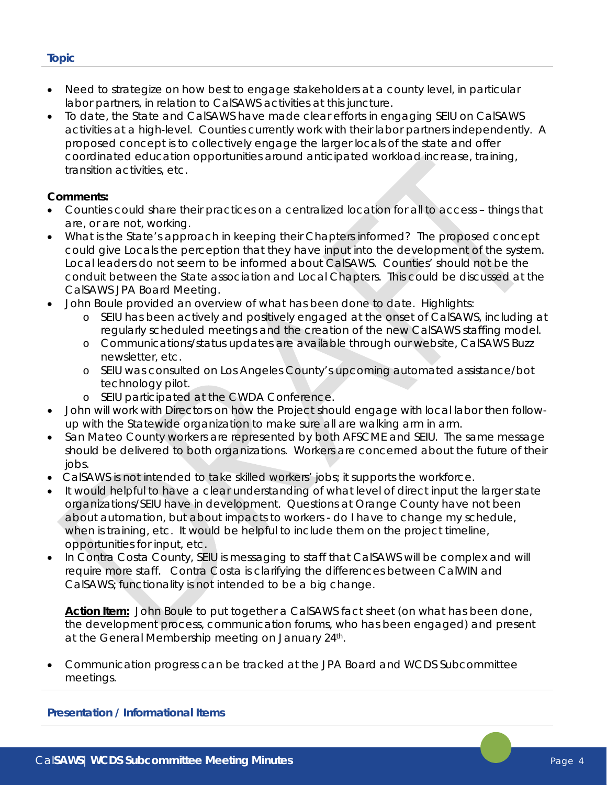- Need to strategize on how best to engage stakeholders at a county level, in particular labor partners, in relation to CalSAWS activities at this juncture.
- To date, the State and CalSAWS have made clear efforts in engaging SEIU on CalSAWS activities at a high-level. Counties currently work with their labor partners independently. A proposed concept is to collectively engage the larger locals of the state and offer coordinated education opportunities around anticipated workload increase, training, transition activities, etc.

# **Comments:**

- Counties could share their practices on a centralized location for all to access things that are, or are not, working.
- What is the State's approach in keeping their Chapters informed? The proposed concept could give Locals the perception that they have input into the development of the system. Local leaders do not seem to be informed about CalSAWS. Counties' should not be the conduit between the State association and Local Chapters. This could be discussed at the CalSAWS JPA Board Meeting.
- John Boule provided an overview of what has been done to date. Highlights:
	- o SEIU has been actively and positively engaged at the onset of CalSAWS, including at regularly scheduled meetings and the creation of the new CalSAWS staffing model.
	- o Communications/status updates are available through our website, CalSAWS Buzz newsletter, etc.
	- o SEIU was consulted on Los Angeles County's upcoming automated assistance/bot technology pilot.
	- o SEIU participated at the CWDA Conference.
- John will work with Directors on how the Project should engage with local labor then followup with the Statewide organization to make sure all are walking arm in arm.
- San Mateo County workers are represented by both AFSCME and SEIU. The same message should be delivered to both organizations. Workers are concerned about the future of their jobs.
- CalSAWS is not intended to take skilled workers' jobs; it supports the workforce.
- It would helpful to have a clear understanding of what level of direct input the larger state organizations/SEIU have in development. Questions at Orange County have not been about automation, but about impacts to workers - do I have to change my schedule, when is training, etc. It would be helpful to include them on the project timeline, opportunities for input, etc.
- In Contra Costa County, SEIU is messaging to staff that CalSAWS will be complex and will require more staff. Contra Costa is clarifying the differences between CalWIN and CalSAWS; functionality is not intended to be a big change.

*Action Item: John Boule to put together a CalSAWS fact sheet (on what has been done, the development process, communication forums, who has been engaged) and present at the General Membership meeting on January 24th.*

• Communication progress can be tracked at the JPA Board and WCDS Subcommittee meetings.

#### **Presentation / Informational Items**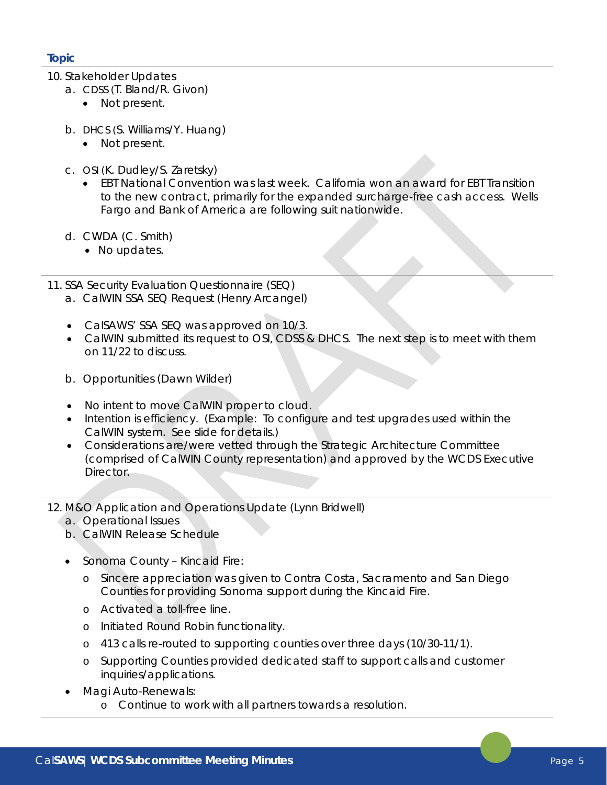- 10. Stakeholder Updates
	- a. CDSS (T. Bland/R. Givon)
		- Not present.
	- b. DHCS (S. Williams/Y. Huang)
		- Not present.
	- c. OSI (K. Dudley/S. Zaretsky)
		- EBT National Convention was last week. California won an award for EBT Transition to the new contract, primarily for the expanded surcharge-free cash access. Wells Fargo and Bank of America are following suit nationwide.
	- d. CWDA (C. Smith)
		- No updates.
- 11. SSA Security Evaluation Questionnaire (SEQ)
	- a. CalWIN SSA SEQ Request (Henry Arcangel)
	- CalSAWS' SSA SEQ was approved on 10/3.
	- CalWIN submitted its request to OSI, CDSS & DHCS. The next step is to meet with them on 11/22 to discuss.
	- b. Opportunities (Dawn Wilder)
	- No intent to move CalWIN proper to cloud.
	- Intention is efficiency. (Example: To configure and test upgrades used within the CalWIN system. See slide for details.)
	- Considerations are/were vetted through the Strategic Architecture Committee (comprised of CalWIN County representation) and approved by the WCDS Executive Director.
- 12. M&O Application and Operations Update (Lynn Bridwell)
	- a. Operational Issues
	- b. CalWIN Release Schedule
	- Sonoma County Kincaid Fire:
		- o Sincere appreciation was given to Contra Costa, Sacramento and San Diego Counties for providing Sonoma support during the Kincaid Fire.
		- o Activated a toll-free line.
		- o Initiated Round Robin functionality.
		- o 413 calls re-routed to supporting counties over three days (10/30-11/1).
		- o Supporting Counties provided dedicated staff to support calls and customer inquiries/applications.
	- Magi Auto-Renewals:
		- o Continue to work with all partners towards a resolution.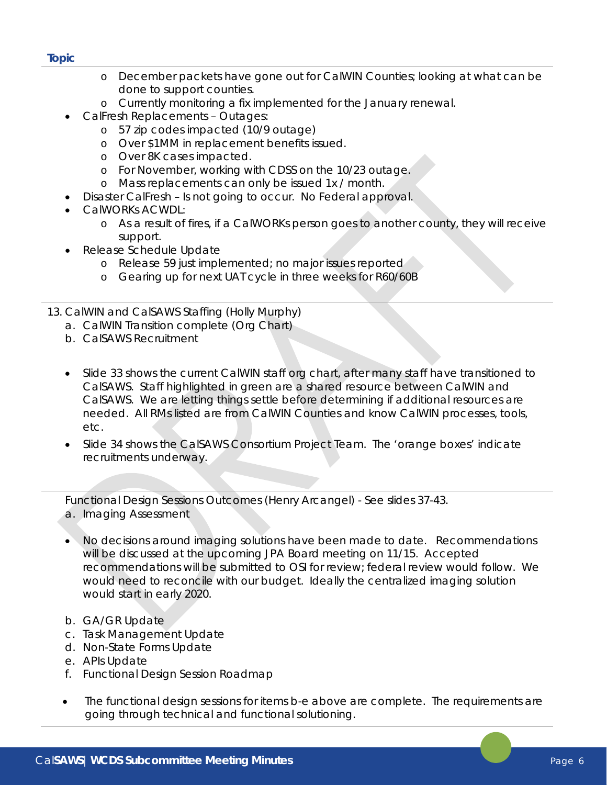- o December packets have gone out for CalWIN Counties; looking at what can be done to support counties.
- o Currently monitoring a fix implemented for the January renewal.
- CalFresh Replacements Outages:
	- o 57 zip codes impacted (10/9 outage)
	- o Over \$1MM in replacement benefits issued.
	- o Over 8K cases impacted.
	- o For November, working with CDSS on the 10/23 outage.
	- o Mass replacements can only be issued 1x / month.
	- Disaster CalFresh Is not going to occur. No Federal approval.
- CalWORKs ACWDL:
	- o As a result of fires, if a CalWORKs person goes to another county, they will receive support.
- Release Schedule Update
	- o Release 59 just implemented; no major issues reported
	- o Gearing up for next UAT cycle in three weeks for R60/60B
- 13. CalWIN and CalSAWS Staffing (Holly Murphy)
	- a. CalWIN Transition complete (Org Chart)
	- b. CalSAWS Recruitment
	- Slide 33 shows the current CalWIN staff org chart, after many staff have transitioned to CalSAWS. Staff highlighted in green are a shared resource between CalWIN and CalSAWS. We are letting things settle before determining if additional resources are needed. All RMs listed are from CalWIN Counties and know CalWIN processes, tools, etc.
	- Slide 34 shows the CalSAWS Consortium Project Team. The 'orange boxes' indicate recruitments underway.

Functional Design Sessions Outcomes (Henry Arcangel) - See slides 37-43. a. Imaging Assessment

- No decisions around imaging solutions have been made to date. Recommendations will be discussed at the upcoming JPA Board meeting on 11/15. Accepted recommendations will be submitted to OSI for review; federal review would follow. We would need to reconcile with our budget. Ideally the centralized imaging solution would start in early 2020.
- b. GA/GR Update
- c. Task Management Update
- d. Non-State Forms Update
- e. APIs Update
- f. Functional Design Session Roadmap
- The functional design sessions for items b-e above are complete. The requirements are going through technical and functional solutioning.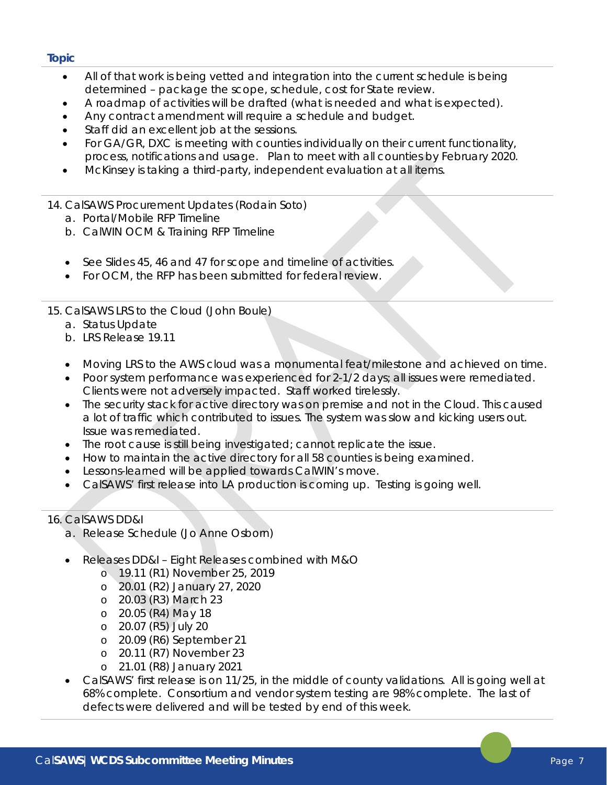- All of that work is being vetted and integration into the current schedule is being determined – package the scope, schedule, cost for State review.
- A roadmap of activities will be drafted (what is needed and what is expected).
- Any contract amendment will require a schedule and budget.
- Staff did an excellent job at the sessions.
- For GA/GR, DXC is meeting with counties individually on their current functionality, process, notifications and usage. Plan to meet with all counties by February 2020.
- McKinsey is taking a third-party, independent evaluation at all items.
- 14. CalSAWS Procurement Updates (Rodain Soto)
	- a. Portal/Mobile RFP Timeline
	- b. CalWIN OCM & Training RFP Timeline
	- See Slides 45, 46 and 47 for scope and timeline of activities.
	- For OCM, the RFP has been submitted for federal review.
- 15. CalSAWS LRS to the Cloud (John Boule)
	- a. Status Update
	- b. LRS Release 19.11
	- Moving LRS to the AWS cloud was a monumental feat/milestone and achieved on time.
	- Poor system performance was experienced for 2-1/2 days; all issues were remediated. Clients were not adversely impacted. Staff worked tirelessly.
	- The security stack for active directory was on premise and not in the Cloud. This caused a lot of traffic which contributed to issues. The system was slow and kicking users out. Issue was remediated.
	- The root cause is still being investigated; cannot replicate the issue.
	- How to maintain the active directory for all 58 counties is being examined.
	- Lessons-learned will be applied towards CalWIN's move.
	- CalSAWS' first release into LA production is coming up. Testing is going well.

# 16. CalSAWS DD&I

- a. Release Schedule (Jo Anne Osborn)
- Releases DD&I Eight Releases combined with M&O
	- o 19.11 (R1) November 25, 2019
	- o 20.01 (R2) January 27, 2020
	- o 20.03 (R3) March 23
	- o 20.05 (R4) May 18
	- o 20.07 (R5) July 20
	- o 20.09 (R6) September 21
	- o 20.11 (R7) November 23
	- o 21.01 (R8) January 2021
- CalSAWS' first release is on 11/25, in the middle of county validations. All is going well at 68% complete. Consortium and vendor system testing are 98% complete. The last of defects were delivered and will be tested by end of this week.